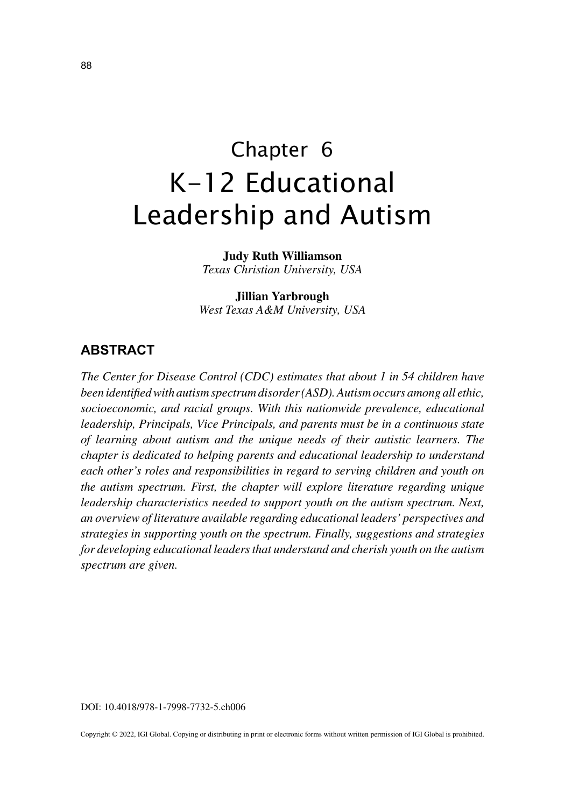# Chapter 6 K-12 Educational Leadership and Autism

**Judy Ruth Williamson** *Texas Christian University, USA*

**Jillian Yarbrough** *West Texas A&M University, USA*

## **ABSTRACT**

*The Center for Disease Control (CDC) estimates that about 1 in 54 children have been identified with autism spectrum disorder (ASD). Autism occurs among all ethic, socioeconomic, and racial groups. With this nationwide prevalence, educational leadership, Principals, Vice Principals, and parents must be in a continuous state of learning about autism and the unique needs of their autistic learners. The chapter is dedicated to helping parents and educational leadership to understand each other's roles and responsibilities in regard to serving children and youth on the autism spectrum. First, the chapter will explore literature regarding unique leadership characteristics needed to support youth on the autism spectrum. Next, an overview of literature available regarding educational leaders' perspectives and strategies in supporting youth on the spectrum. Finally, suggestions and strategies for developing educational leaders that understand and cherish youth on the autism spectrum are given.*

DOI: 10.4018/978-1-7998-7732-5.ch006

Copyright © 2022, IGI Global. Copying or distributing in print or electronic forms without written permission of IGI Global is prohibited.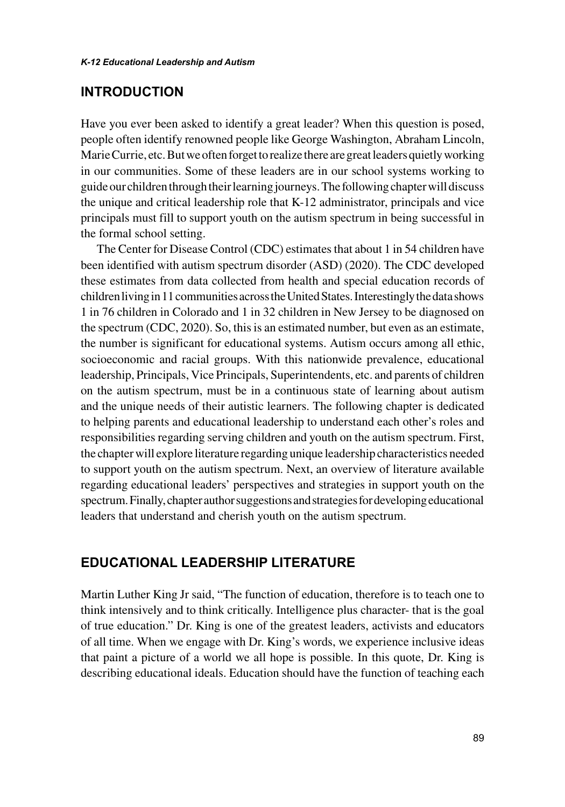#### **INTRODUCTION**

Have you ever been asked to identify a great leader? When this question is posed, people often identify renowned people like George Washington, Abraham Lincoln, Marie Currie, etc. But we often forget to realize there are great leaders quietly working in our communities. Some of these leaders are in our school systems working to guide our children through their learning journeys. The following chapter will discuss the unique and critical leadership role that K-12 administrator, principals and vice principals must fill to support youth on the autism spectrum in being successful in the formal school setting.

The Center for Disease Control (CDC) estimates that about 1 in 54 children have been identified with autism spectrum disorder (ASD) (2020). The CDC developed these estimates from data collected from health and special education records of children living in 11 communities across the United States. Interestingly the data shows 1 in 76 children in Colorado and 1 in 32 children in New Jersey to be diagnosed on the spectrum (CDC, 2020). So, this is an estimated number, but even as an estimate, the number is significant for educational systems. Autism occurs among all ethic, socioeconomic and racial groups. With this nationwide prevalence, educational leadership, Principals, Vice Principals, Superintendents, etc. and parents of children on the autism spectrum, must be in a continuous state of learning about autism and the unique needs of their autistic learners. The following chapter is dedicated to helping parents and educational leadership to understand each other's roles and responsibilities regarding serving children and youth on the autism spectrum. First, the chapter will explore literature regarding unique leadership characteristics needed to support youth on the autism spectrum. Next, an overview of literature available regarding educational leaders' perspectives and strategies in support youth on the spectrum. Finally, chapter author suggestions and strategies for developing educational leaders that understand and cherish youth on the autism spectrum.

# **EDUCATIONAL LEADERSHIP LITERATURE**

Martin Luther King Jr said, "The function of education, therefore is to teach one to think intensively and to think critically. Intelligence plus character- that is the goal of true education." Dr. King is one of the greatest leaders, activists and educators of all time. When we engage with Dr. King's words, we experience inclusive ideas that paint a picture of a world we all hope is possible. In this quote, Dr. King is describing educational ideals. Education should have the function of teaching each